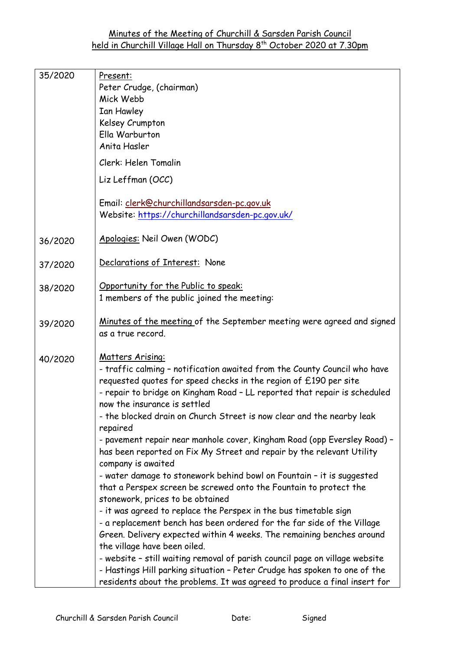| 35/2020 | Present:<br>Peter Crudge, (chairman)<br>Mick Webb<br>Ian Hawley<br>Kelsey Crumpton<br>Ella Warburton<br>Anita Hasler<br>Clerk: Helen Tomalin<br>Liz Leffman (OCC)<br>Email: clerk@churchillandsarsden-pc.gov.uk<br>Website: https://churchillandsarsden-pc.gov.uk/                                                                                                                                                                                                                                                                                                                                                                                                                                                                                                                                                                                                                                                                                                                                                                                                                                                                                                                                                                      |
|---------|-----------------------------------------------------------------------------------------------------------------------------------------------------------------------------------------------------------------------------------------------------------------------------------------------------------------------------------------------------------------------------------------------------------------------------------------------------------------------------------------------------------------------------------------------------------------------------------------------------------------------------------------------------------------------------------------------------------------------------------------------------------------------------------------------------------------------------------------------------------------------------------------------------------------------------------------------------------------------------------------------------------------------------------------------------------------------------------------------------------------------------------------------------------------------------------------------------------------------------------------|
| 36/2020 | Apologies: Neil Owen (WODC)                                                                                                                                                                                                                                                                                                                                                                                                                                                                                                                                                                                                                                                                                                                                                                                                                                                                                                                                                                                                                                                                                                                                                                                                             |
| 37/2020 | Declarations of Interest: None                                                                                                                                                                                                                                                                                                                                                                                                                                                                                                                                                                                                                                                                                                                                                                                                                                                                                                                                                                                                                                                                                                                                                                                                          |
| 38/2020 | Opportunity for the Public to speak:<br>1 members of the public joined the meeting:                                                                                                                                                                                                                                                                                                                                                                                                                                                                                                                                                                                                                                                                                                                                                                                                                                                                                                                                                                                                                                                                                                                                                     |
| 39/2020 | Minutes of the meeting of the September meeting were agreed and signed<br>as a true record.                                                                                                                                                                                                                                                                                                                                                                                                                                                                                                                                                                                                                                                                                                                                                                                                                                                                                                                                                                                                                                                                                                                                             |
| 40/2020 | <u>Matters Arising:</u><br>- traffic calming - notification awaited from the County Council who have<br>requested quotes for speed checks in the region of £190 per site<br>- repair to bridge on Kingham Road - LL reported that repair is scheduled<br>now the insurance is settled<br>- the blocked drain on Church Street is now clear and the nearby leak<br>repaired<br>- pavement repair near manhole cover, Kingham Road (opp Eversley Road) -<br>has been reported on Fix My Street and repair by the relevant Utility<br>company is awaited<br>- water damage to stonework behind bowl on Fountain - it is suggested<br>that a Perspex screen be screwed onto the Fountain to protect the<br>stonework, prices to be obtained<br>- it was agreed to replace the Perspex in the bus timetable sign<br>- a replacement bench has been ordered for the far side of the Village<br>Green. Delivery expected within 4 weeks. The remaining benches around<br>the village have been oiled.<br>- website - still waiting removal of parish council page on village website<br>- Hastings Hill parking situation - Peter Crudge has spoken to one of the<br>residents about the problems. It was agreed to produce a final insert for |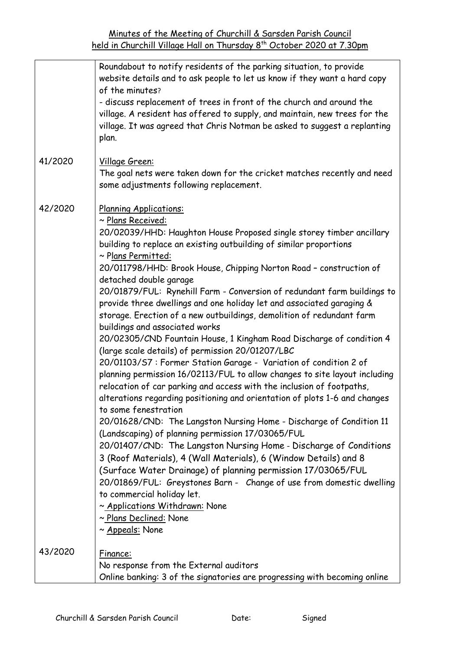|         | Roundabout to notify residents of the parking situation, to provide<br>website details and to ask people to let us know if they want a hard copy<br>of the minutes?                                                                                                                                                           |
|---------|-------------------------------------------------------------------------------------------------------------------------------------------------------------------------------------------------------------------------------------------------------------------------------------------------------------------------------|
|         | - discuss replacement of trees in front of the church and around the<br>village. A resident has offered to supply, and maintain, new trees for the<br>village. It was agreed that Chris Notman be asked to suggest a replanting<br>plan.                                                                                      |
| 41/2020 | Village Green:<br>The goal nets were taken down for the cricket matches recently and need<br>some adjustments following replacement.                                                                                                                                                                                          |
| 42/2020 | Planning Applications:<br>~ Plans Received:                                                                                                                                                                                                                                                                                   |
|         | 20/02039/HHD: Haughton House Proposed single storey timber ancillary<br>building to replace an existing outbuilding of similar proportions<br>~ Plans Permitted:                                                                                                                                                              |
|         | 20/011798/HHD: Brook House, Chipping Norton Road - construction of<br>detached double garage                                                                                                                                                                                                                                  |
|         | 20/01879/FUL: Rynehill Farm - Conversion of redundant farm buildings to<br>provide three dwellings and one holiday let and associated garaging &<br>storage. Erection of a new outbuildings, demolition of redundant farm<br>buildings and associated works                                                                   |
|         | 20/02305/CND Fountain House, 1 Kingham Road Discharge of condition 4<br>(large scale details) of permission 20/01207/LBC                                                                                                                                                                                                      |
|         | 20/01103/S7: Former Station Garage - Variation of condition 2 of<br>planning permission 16/02113/FUL to allow changes to site layout including<br>relocation of car parking and access with the inclusion of footpaths,<br>alterations regarding positioning and orientation of plots 1-6 and changes<br>to some fenestration |
|         | 20/01628/CND: The Langston Nursing Home - Discharge of Condition 11<br>(Landscaping) of planning permission 17/03065/FUL                                                                                                                                                                                                      |
|         | 20/01407/CND: The Langston Nursing Home - Discharge of Conditions<br>3 (Roof Materials), 4 (Wall Materials), 6 (Window Details) and 8                                                                                                                                                                                         |
|         | (Surface Water Drainage) of planning permission 17/03065/FUL<br>20/01869/FUL: Greystones Barn - Change of use from domestic dwelling                                                                                                                                                                                          |
|         | to commercial holiday let.<br>~ Applications Withdrawn: None<br>~ Plans Declined: None                                                                                                                                                                                                                                        |
|         | ~ Appeals: None                                                                                                                                                                                                                                                                                                               |
| 43/2020 | Finance:<br>No response from the External auditors<br>Online banking: 3 of the signatories are progressing with becoming online                                                                                                                                                                                               |
|         |                                                                                                                                                                                                                                                                                                                               |